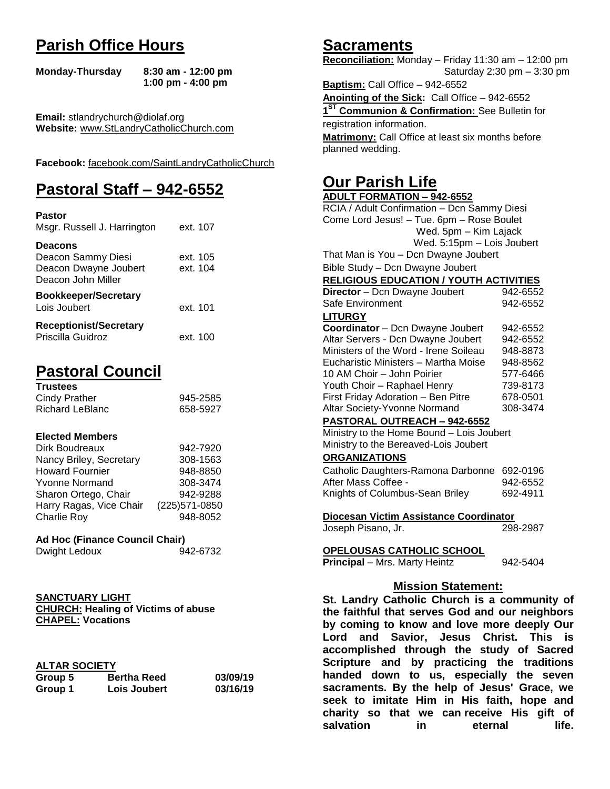# **Parish Office Hours**

```
Monday-Thursday 8:30 am - 12:00 pm
       1:00 pm - 4:00 pm
```
**Email:** stlandrychurch@diolaf.org **Website:** [www.StLandryCatholicChurch.com](http://www.stlandrycatholicchurch.com/)

**Facebook:** [facebook.com/SaintLandryCatholicChurch](http://facebook.com/SaintLandryCatholicChurch)

# **Pastoral Staff – 942-6552**

| <b>Pastor</b><br>Msgr. Russell J. Harrington                                        | ext. 107             |
|-------------------------------------------------------------------------------------|----------------------|
| <b>Deacons</b><br>Deacon Sammy Diesi<br>Deacon Dwayne Joubert<br>Deacon John Miller | ext. 105<br>ext. 104 |
| <b>Bookkeeper/Secretary</b><br>Lois Joubert                                         | ext. 101             |
| <b>Receptionist/Secretary</b><br>Priscilla Guidroz                                  | ext. 100             |

# **Pastoral Council**

| <b>Trustees</b> |          |
|-----------------|----------|
| Cindy Prather   | 945-2585 |
| Richard LeBlanc | 658-5927 |

#### **Elected Members**

| Dirk Boudreaux          | 942-7920       |
|-------------------------|----------------|
| Nancy Briley, Secretary | 308-1563       |
| <b>Howard Fournier</b>  | 948-8850       |
| <b>Yvonne Normand</b>   | 308-3474       |
| Sharon Ortego, Chair    | 942-9288       |
| Harry Ragas, Vice Chair | (225) 571-0850 |
| <b>Charlie Roy</b>      | 948-8052       |

#### **Ad Hoc (Finance Council Chair)**

| Dwight Ledoux | 942-6732 |
|---------------|----------|
|               |          |

# **SANCTUARY LIGHT**

**CHURCH: Healing of Victims of abuse CHAPEL: Vocations**

### **ALTAR SOCIETY**

| Group 5 | <b>Bertha Reed</b> | 03/09/19 |
|---------|--------------------|----------|
| Group 1 | Lois Joubert       | 03/16/19 |

# **Sacraments**

**Reconciliation:** Monday – Friday 11:30 am – 12:00 pm Saturday 2:30 pm – 3:30 pm

**Baptism:** Call Office – 942-6552 **Anointing of the Sick:** Call Office – 942-6552 **1 ST Communion & Confirmation:** See Bulletin for registration information. **Matrimony:** Call Office at least six months before planned wedding.

# **Our Parish Life**

| <b>ADULT FORMATION - 942-6552</b>              |            |
|------------------------------------------------|------------|
| RCIA / Adult Confirmation - Dcn Sammy Diesi    |            |
| Come Lord Jesus! - Tue. 6pm - Rose Boulet      |            |
| Wed. 5pm - Kim Lajack                          |            |
| Wed. 5:15pm - Lois Joubert                     |            |
| That Man is You - Dcn Dwayne Joubert           |            |
| Bible Study - Dcn Dwayne Joubert               |            |
| <b>RELIGIOUS EDUCATION / YOUTH ACTIVITIES</b>  |            |
| Director - Dcn Dwayne Joubert                  | 942-6552   |
| Safe Environment                               | 942-6552   |
| <b>LITURGY</b>                                 |            |
| Coordinator - Dcn Dwayne Joubert               | 942-6552   |
| Altar Servers - Dcn Dwayne Joubert             | 942-6552   |
| Ministers of the Word - Irene Soileau          | 948-8873   |
| Eucharistic Ministers - Martha Moise           | 948-8562   |
| 10 AM Choir - John Poirier                     | 577-6466   |
| Youth Choir - Raphael Henry                    | 739-8173   |
| First Friday Adoration - Ben Pitre             | 678-0501   |
| Altar Society-Yvonne Normand                   | 308-3474   |
| PASTORAL OUTREACH - 942-6552                   |            |
| Ministry to the Home Bound - Lois Joubert      |            |
| Ministry to the Bereaved-Lois Joubert          |            |
| <b>ORGANIZATIONS</b>                           |            |
| Catholic Daughters-Ramona Darbonne             | 692-0196   |
| After Mass Coffee -                            | 942-6552   |
| Knights of Columbus-Sean Briley                | 692-4911   |
|                                                |            |
| Diocesan Victim Assistance Coordinator         |            |
| Joseph Pisano, Jr.                             | 298-2987   |
| OPELOUSAS CATHOLIC SCHOOL                      |            |
| Principal - Mrs. Marty Heintz                  | 942-5404   |
|                                                |            |
| <b>Mission Statement:</b>                      |            |
| St. Landry Catholic Church is a community of   |            |
| the faithful that serves God and our neighbors |            |
| by coming to know and love more deeply Our     |            |
| Savior, Jesus Christ.<br>and<br>Lord           | This<br>is |
| accomplished through the study of Sacred       |            |
|                                                |            |

**accomplished through the study of Sacred Scripture and by practicing the traditions handed down to us, especially the seven sacraments. By the help of Jesus' Grace, we seek to imitate Him in His faith, hope and charity so that we can receive His gift of salvation in** eternal life.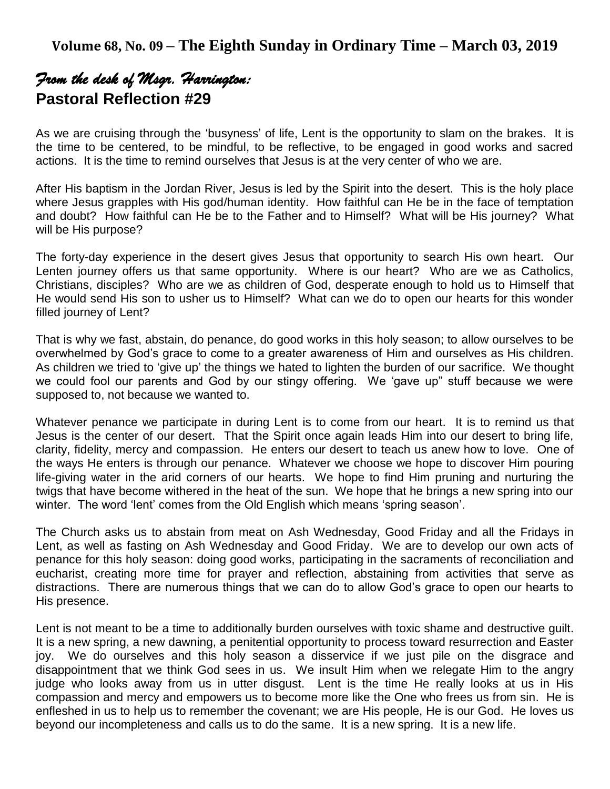# *From the desk of Msgr. Harrington:*  **Pastoral Reflection #29**

As we are cruising through the 'busyness' of life, Lent is the opportunity to slam on the brakes. It is the time to be centered, to be mindful, to be reflective, to be engaged in good works and sacred actions. It is the time to remind ourselves that Jesus is at the very center of who we are.

After His baptism in the Jordan River, Jesus is led by the Spirit into the desert. This is the holy place where Jesus grapples with His god/human identity. How faithful can He be in the face of temptation and doubt? How faithful can He be to the Father and to Himself? What will be His journey? What will be His purpose?

The forty-day experience in the desert gives Jesus that opportunity to search His own heart. Our Lenten journey offers us that same opportunity. Where is our heart? Who are we as Catholics, Christians, disciples? Who are we as children of God, desperate enough to hold us to Himself that He would send His son to usher us to Himself? What can we do to open our hearts for this wonder filled journey of Lent?

That is why we fast, abstain, do penance, do good works in this holy season; to allow ourselves to be overwhelmed by God's grace to come to a greater awareness of Him and ourselves as His children. As children we tried to 'give up' the things we hated to lighten the burden of our sacrifice. We thought we could fool our parents and God by our stingy offering. We 'gave up" stuff because we were supposed to, not because we wanted to.

Whatever penance we participate in during Lent is to come from our heart. It is to remind us that Jesus is the center of our desert. That the Spirit once again leads Him into our desert to bring life, clarity, fidelity, mercy and compassion. He enters our desert to teach us anew how to love. One of the ways He enters is through our penance. Whatever we choose we hope to discover Him pouring life-giving water in the arid corners of our hearts. We hope to find Him pruning and nurturing the twigs that have become withered in the heat of the sun. We hope that he brings a new spring into our winter. The word 'lent' comes from the Old English which means 'spring season'.

The Church asks us to abstain from meat on Ash Wednesday, Good Friday and all the Fridays in Lent, as well as fasting on Ash Wednesday and Good Friday. We are to develop our own acts of penance for this holy season: doing good works, participating in the sacraments of reconciliation and eucharist, creating more time for prayer and reflection, abstaining from activities that serve as distractions. There are numerous things that we can do to allow God's grace to open our hearts to His presence.

Lent is not meant to be a time to additionally burden ourselves with toxic shame and destructive guilt. It is a new spring, a new dawning, a penitential opportunity to process toward resurrection and Easter joy. We do ourselves and this holy season a disservice if we just pile on the disgrace and disappointment that we think God sees in us. We insult Him when we relegate Him to the angry judge who looks away from us in utter disgust. Lent is the time He really looks at us in His compassion and mercy and empowers us to become more like the One who frees us from sin. He is enfleshed in us to help us to remember the covenant; we are His people, He is our God. He loves us beyond our incompleteness and calls us to do the same. It is a new spring. It is a new life.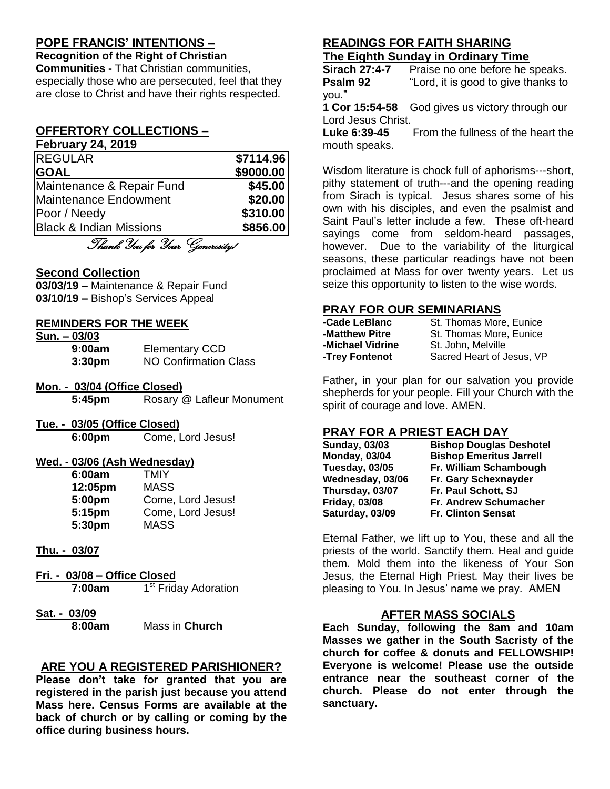## **POPE FRANCIS' INTENTIONS –**

**Recognition of the Right of Christian Communities -** That Christian communities, especially those who are persecuted, feel that they are close to Christ and have their rights respected.

# **OFFERTORY COLLECTIONS –**

| <b>February 24, 2019</b>           |           |
|------------------------------------|-----------|
| <b>REGULAR</b>                     | \$7114.96 |
| <b>GOAL</b>                        | \$9000.00 |
| Maintenance & Repair Fund          | \$45.00   |
| <b>Maintenance Endowment</b>       | \$20.00   |
| Poor / Needy                       | \$310.00  |
| <b>Black &amp; Indian Missions</b> | \$856.00  |

Thank You for Your Generosity!

#### **Second Collection**

**03/03/19 –** Maintenance & Repair Fund **03/10/19 –** Bishop's Services Appeal

#### **REMINDERS FOR THE WEEK**

| Sun. - 03/03       |                              |
|--------------------|------------------------------|
| 9:00am             | <b>Elementary CCD</b>        |
| 3:30 <sub>pm</sub> | <b>NO Confirmation Class</b> |

- **Mon. - 03/04 (Office Closed) 5:45pm** Rosary @ Lafleur Monument
- **Tue. - 03/05 (Office Closed)**

**6:00pm** Come, Lord Jesus!

#### **Wed. - 03/06 (Ash Wednesday)**

| 6:00am  | TMIY              |
|---------|-------------------|
| 12:05pm | <b>MASS</b>       |
| 5:00pm  | Come, Lord Jesus! |
| 5:15pm  | Come, Lord Jesus! |
| 5:30pm  | <b>MASS</b>       |

#### **Thu. - 03/07**

- **Fri. - 03/08 – Office Closed 7:00am** 1 1<sup>st</sup> Friday Adoration
- **Sat. - 03/09**

**8:00am** Mass in **Church**

### **ARE YOU A REGISTERED PARISHIONER?**

**Please don't take for granted that you are registered in the parish just because you attend Mass here. Census Forms are available at the back of church or by calling or coming by the office during business hours.**

## **READINGS FOR FAITH SHARING The Eighth Sunday in Ordinary Time**

**Sirach 27:4-7** Praise no one before he speaks. **Psalm 92** "Lord, it is good to give thanks to you."

**1 Cor 15:54-58** God gives us victory through our Lord Jesus Christ.

Luke 6:39-45 From the fullness of the heart the mouth speaks.

Wisdom literature is chock full of aphorisms---short, pithy statement of truth---and the opening reading from Sirach is typical. Jesus shares some of his own with his disciples, and even the psalmist and Saint Paul's letter include a few. These oft-heard sayings come from seldom-heard passages, however. Due to the variability of the liturgical seasons, these particular readings have not been proclaimed at Mass for over twenty years. Let us seize this opportunity to listen to the wise words.

#### **PRAY FOR OUR SEMINARIANS**

| -Cade LeBlanc    | St. Thomas More, Eunice   |
|------------------|---------------------------|
| -Matthew Pitre   | St. Thomas More, Eunice   |
| -Michael Vidrine | St. John, Melville        |
| -Trey Fontenot   | Sacred Heart of Jesus, VP |

Father, in your plan for our salvation you provide shepherds for your people. Fill your Church with the spirit of courage and love. AMEN.

# **PRAY FOR A PRIEST EACH DAY**

| <b>Sunday, 03/03</b> | <b>Bishop Douglas Deshotel</b> |
|----------------------|--------------------------------|
| <b>Monday, 03/04</b> | <b>Bishop Emeritus Jarrell</b> |
| Tuesday, 03/05       | Fr. William Schambough         |
| Wednesday, 03/06     | Fr. Gary Schexnayder           |
| Thursday, 03/07      | Fr. Paul Schott, SJ            |
| <b>Friday, 03/08</b> | Fr. Andrew Schumacher          |
| Saturday, 03/09      | <b>Fr. Clinton Sensat</b>      |

Eternal Father, we lift up to You, these and all the priests of the world. Sanctify them. Heal and guide them. Mold them into the likeness of Your Son Jesus, the Eternal High Priest. May their lives be pleasing to You. In Jesus' name we pray. AMEN

### **AFTER MASS SOCIALS**

**Each Sunday, following the 8am and 10am Masses we gather in the South Sacristy of the church for coffee & donuts and FELLOWSHIP! Everyone is welcome! Please use the outside entrance near the southeast corner of the church. Please do not enter through the sanctuary.**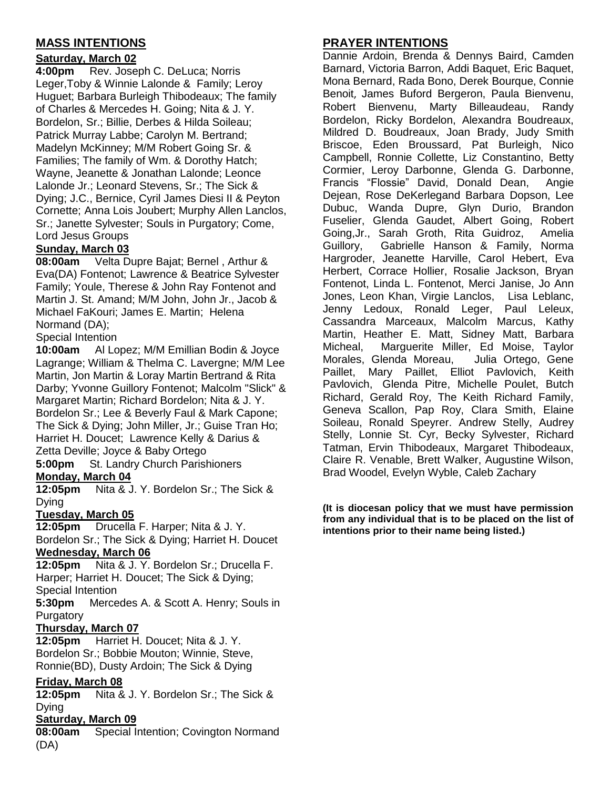# **MASS INTENTIONS**

## **Saturday, March 02**

**4:00pm** Rev. Joseph C. DeLuca; Norris Leger,Toby & Winnie Lalonde & Family; Leroy Huguet; Barbara Burleigh Thibodeaux; The family of Charles & Mercedes H. Going; Nita & J. Y. Bordelon, Sr.; Billie, Derbes & Hilda Soileau; Patrick Murray Labbe; Carolyn M. Bertrand; Madelyn McKinney; M/M Robert Going Sr. & Families; The family of Wm. & Dorothy Hatch; Wayne, Jeanette & Jonathan Lalonde; Leonce Lalonde Jr.; Leonard Stevens, Sr.; The Sick & Dying; J.C., Bernice, Cyril James Diesi II & Peyton Cornette; Anna Lois Joubert; Murphy Allen Lanclos, Sr.; Janette Sylvester; Souls in Purgatory; Come, Lord Jesus Groups

## **Sunday, March 03**

**08:00am** Velta Dupre Bajat; Bernel , Arthur & Eva(DA) Fontenot; Lawrence & Beatrice Sylvester Family; Youle, Therese & John Ray Fontenot and Martin J. St. Amand; M/M John, John Jr., Jacob & Michael FaKouri; James E. Martin; Helena Normand (DA);

Special Intention

**10:00am** Al Lopez; M/M Emillian Bodin & Joyce Lagrange; William & Thelma C. Lavergne; M/M Lee Martin, Jon Martin & Loray Martin Bertrand & Rita Darby; Yvonne Guillory Fontenot; Malcolm "Slick" & Margaret Martin; Richard Bordelon; Nita & J. Y. Bordelon Sr.; Lee & Beverly Faul & Mark Capone; The Sick & Dying; John Miller, Jr.; Guise Tran Ho; Harriet H. Doucet; Lawrence Kelly & Darius & Zetta Deville; Joyce & Baby Ortego

**5:00pm** St. Landry Church Parishioners **Monday, March 04**

**12:05pm** Nita & J. Y. Bordelon Sr.; The Sick & Dying

### **Tuesday, March 05**

**12:05pm** Drucella F. Harper; Nita & J. Y. Bordelon Sr.; The Sick & Dying; Harriet H. Doucet **Wednesday, March 06**

**12:05pm** Nita & J. Y. Bordelon Sr.; Drucella F. Harper; Harriet H. Doucet; The Sick & Dying; Special Intention

**5:30pm** Mercedes A. & Scott A. Henry; Souls in **Purgatory** 

### **Thursday, March 07**

**12:05pm** Harriet H. Doucet; Nita & J. Y. Bordelon Sr.; Bobbie Mouton; Winnie, Steve, Ronnie(BD), Dusty Ardoin; The Sick & Dying

### **Friday, March 08**

**12:05pm** Nita & J. Y. Bordelon Sr.; The Sick & Dying

### **Saturday, March 09**

**08:00am** Special Intention; Covington Normand (DA)

# **PRAYER INTENTIONS**

Dannie Ardoin, Brenda & Dennys Baird, Camden Barnard, Victoria Barron, Addi Baquet, Eric Baquet, Mona Bernard, Rada Bono, Derek Bourque, Connie Benoit, James Buford Bergeron, Paula Bienvenu, Robert Bienvenu, Marty Billeaudeau, Randy Bordelon, Ricky Bordelon, Alexandra Boudreaux, Mildred D. Boudreaux, Joan Brady, Judy Smith Briscoe, Eden Broussard, Pat Burleigh, Nico Campbell, Ronnie Collette, Liz Constantino, Betty Cormier, Leroy Darbonne, Glenda G. Darbonne, Francis "Flossie" David, Donald Dean, Angie Dejean, Rose DeKerlegand Barbara Dopson, Lee Dubuc, Wanda Dupre, Glyn Durio, Brandon Fuselier, Glenda Gaudet, Albert Going, Robert Going,Jr., Sarah Groth, Rita Guidroz, Amelia Guillory, Gabrielle Hanson & Family, Norma Hargroder, Jeanette Harville, Carol Hebert, Eva Herbert, Corrace Hollier, Rosalie Jackson, Bryan Fontenot, Linda L. Fontenot, Merci Janise, Jo Ann Jones, Leon Khan, Virgie Lanclos, Lisa Leblanc, Jenny Ledoux, Ronald Leger, Paul Leleux, Cassandra Marceaux, Malcolm Marcus, Kathy Martin, Heather E. Matt, Sidney Matt, Barbara Micheal, Marguerite Miller, Ed Moise, Taylor Morales, Glenda Moreau, Julia Ortego, Gene Paillet, Mary Paillet, Elliot Pavlovich, Keith Pavlovich, Glenda Pitre, Michelle Poulet, Butch Richard, Gerald Roy, The Keith Richard Family, Geneva Scallon, Pap Roy, Clara Smith, Elaine Soileau, Ronald Speyrer. Andrew Stelly, Audrey Stelly, Lonnie St. Cyr, Becky Sylvester, Richard Tatman, Ervin Thibodeaux, Margaret Thibodeaux, Claire R. Venable, Brett Walker, Augustine Wilson, Brad Woodel, Evelyn Wyble, Caleb Zachary

**(It is diocesan policy that we must have permission from any individual that is to be placed on the list of intentions prior to their name being listed.)**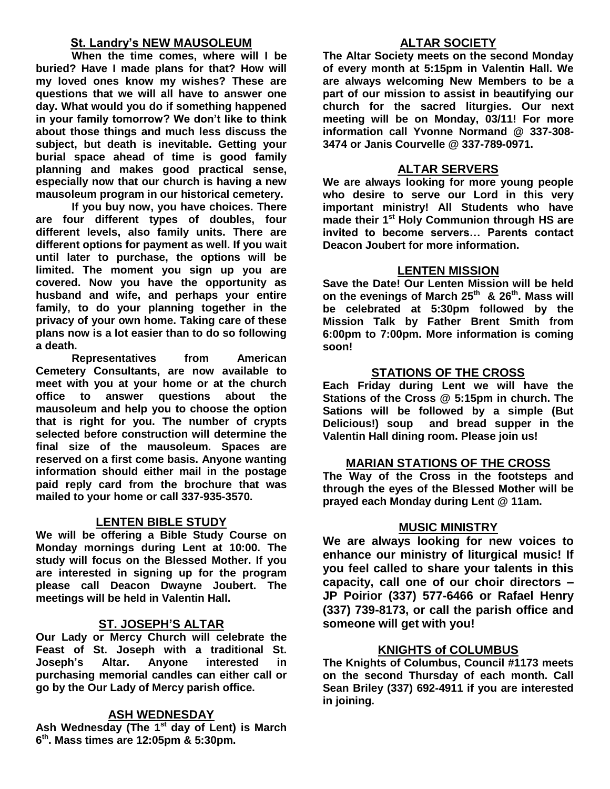#### **St. Landry's NEW MAUSOLEUM**

**When the time comes, where will I be buried? Have I made plans for that? How will my loved ones know my wishes? These are questions that we will all have to answer one day. What would you do if something happened in your family tomorrow? We don't like to think about those things and much less discuss the subject, but death is inevitable. Getting your burial space ahead of time is good family planning and makes good practical sense, especially now that our church is having a new mausoleum program in our historical cemetery.**

**If you buy now, you have choices. There are four different types of doubles, four different levels, also family units. There are different options for payment as well. If you wait until later to purchase, the options will be limited. The moment you sign up you are covered. Now you have the opportunity as husband and wife, and perhaps your entire family, to do your planning together in the privacy of your own home. Taking care of these plans now is a lot easier than to do so following a death.**

**Representatives from American Cemetery Consultants, are now available to meet with you at your home or at the church office to answer questions about the mausoleum and help you to choose the option that is right for you. The number of crypts selected before construction will determine the final size of the mausoleum. Spaces are reserved on a first come basis. Anyone wanting information should either mail in the postage paid reply card from the brochure that was mailed to your home or call 337-935-3570.**

### **LENTEN BIBLE STUDY**

**We will be offering a Bible Study Course on Monday mornings during Lent at 10:00. The study will focus on the Blessed Mother. If you are interested in signing up for the program please call Deacon Dwayne Joubert. The meetings will be held in Valentin Hall.**

#### **ST. JOSEPH'S ALTAR**

**Our Lady or Mercy Church will celebrate the Feast of St. Joseph with a traditional St. Joseph's Altar. Anyone interested in purchasing memorial candles can either call or go by the Our Lady of Mercy parish office.**

### **ASH WEDNESDAY**

**Ash Wednesday (The 1st day of Lent) is March 6 th. Mass times are 12:05pm & 5:30pm.**

## **ALTAR SOCIETY**

**The Altar Society meets on the second Monday of every month at 5:15pm in Valentin Hall. We are always welcoming New Members to be a part of our mission to assist in beautifying our church for the sacred liturgies. Our next meeting will be on Monday, 03/11! For more information call Yvonne Normand @ 337-308- 3474 or Janis Courvelle @ 337-789-0971.** 

#### **ALTAR SERVERS**

**We are always looking for more young people who desire to serve our Lord in this very important ministry! All Students who have made their 1st Holy Communion through HS are invited to become servers… Parents contact Deacon Joubert for more information.**

#### **LENTEN MISSION**

**Save the Date! Our Lenten Mission will be held on the evenings of March 25th & 26th. Mass will be celebrated at 5:30pm followed by the Mission Talk by Father Brent Smith from 6:00pm to 7:00pm. More information is coming soon!**

#### **STATIONS OF THE CROSS**

**Each Friday during Lent we will have the Stations of the Cross @ 5:15pm in church. The Sations will be followed by a simple (But Delicious!) soup and bread supper in the Valentin Hall dining room. Please join us!**

#### **MARIAN STATIONS OF THE CROSS**

**The Way of the Cross in the footsteps and through the eyes of the Blessed Mother will be prayed each Monday during Lent @ 11am.** 

#### **MUSIC MINISTRY**

**We are always looking for new voices to enhance our ministry of liturgical music! If you feel called to share your talents in this capacity, call one of our choir directors – JP Poirior (337) 577-6466 or Rafael Henry (337) 739-8173, or call the parish office and someone will get with you!**

### **KNIGHTS of COLUMBUS**

**The Knights of Columbus, Council #1173 meets on the second Thursday of each month. Call Sean Briley (337) 692-4911 if you are interested in joining.**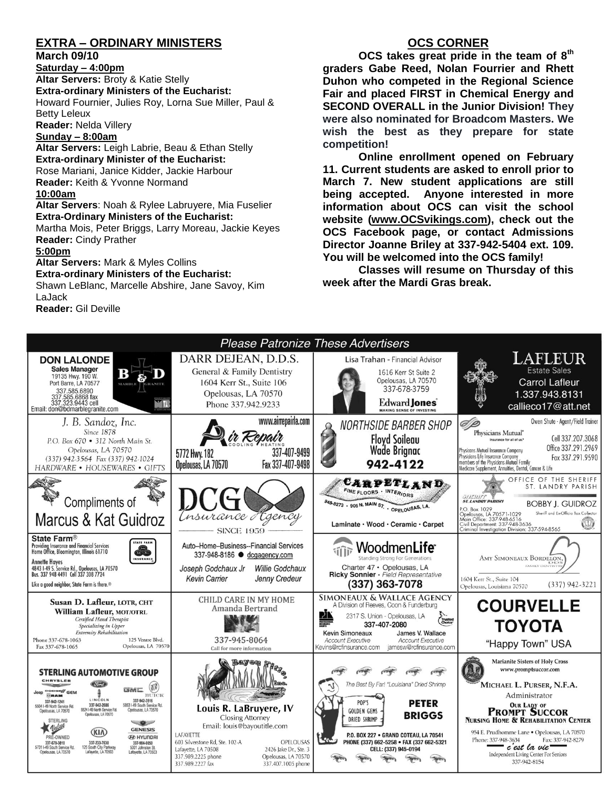# **EXTRA – ORDINARY MINISTERS**

#### **March 09/10**

**Saturday – 4:00pm** 

**Altar Servers:** Broty & Katie Stelly **Extra-ordinary Ministers of the Eucharist:**  Howard Fournier, Julies Roy, Lorna Sue Miller, Paul & Betty Leleux

**Reader:** Nelda Villery

#### **Sunday – 8:00am**

**Altar Servers:** Leigh Labrie, Beau & Ethan Stelly **Extra-ordinary Minister of the Eucharist:** Rose Mariani, Janice Kidder, Jackie Harbour **Reader:** Keith & Yvonne Normand **10:00am**

**Altar Servers**: Noah & Rylee Labruyere, Mia Fuselier **Extra-Ordinary Ministers of the Eucharist:**

Martha Mois, Peter Briggs, Larry Moreau, Jackie Keyes **Reader:** Cindy Prather

#### **5:00pm**

**Altar Servers:** Mark & Myles Collins **Extra-ordinary Ministers of the Eucharist:** Shawn LeBlanc, Marcelle Abshire, Jane Savoy, Kim

LaJack

**Reader:** Gil Deville

## **OCS CORNER**

**OCS takes great pride in the team of 8th graders Gabe Reed, Nolan Fourrier and Rhett Duhon who competed in the Regional Science Fair and placed FIRST in Chemical Energy and SECOND OVERALL in the Junior Division! They were also nominated for Broadcom Masters. We wish the best as they prepare for state competition!**

**Online enrollment opened on February 11. Current students are asked to enroll prior to March 7. New student applications are still being accepted. Anyone interested in more information about OCS can visit the school website [\(www.OCSvikings.com\)](http://www.ocsvikings.com/), check out the OCS Facebook page, or contact Admissions Director Joanne Briley at 337-942-5404 ext. 109. You will be welcomed into the OCS family!**

**Classes will resume on Thursday of this week after the Mardi Gras break.**